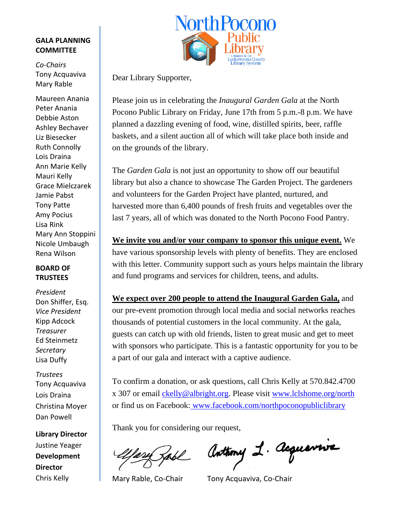#### **GALA PLANNING COMMITTEE**

*Co-Chairs* Tony Acquaviva Mary Rable

Maureen Anania Peter Anania Debbie Aston Ashley Bechaver Liz Biesecker Ruth Connolly Lois Draina Ann Marie Kelly Mauri Kelly Grace Mielczarek Jamie Pabst Tony Patte Amy Pocius Lisa Rink Mary Ann Stoppini Nicole Umbaugh Rena Wilson

#### **BOARD OF TRUSTEES**

*President* Don Shiffer, Esq. *Vice President* Kipp Adcock *Treasurer* Ed Steinmetz *Secretary* Lisa Duffy

*Trustees* Tony Acquaviva Lois Draina Christina Moyer Dan Powell

**Library Director** Justine Yeager **Development Director** Chris Kelly



Dear Library Supporter,

Please join us in celebrating the *Inaugural Garden Gala* at the North Pocono Public Library on Friday, June 17th from 5 p.m.-8 p.m. We have planned a dazzling evening of food, wine, distilled spirits, beer, raffle baskets, and a silent auction all of which will take place both inside and on the grounds of the library.

The *Garden Gala* is not just an opportunity to show off our beautiful library but also a chance to showcase The Garden Project. The gardeners and volunteers for the Garden Project have planted, nurtured, and harvested more than 6,400 pounds of fresh fruits and vegetables over the last 7 years, all of which was donated to the North Pocono Food Pantry.

**We invite you and/or your company to sponsor this unique event.** We have various sponsorship levels with plenty of benefits. They are enclosed with this letter. Community support such as yours helps maintain the library and fund programs and services for children, teens, and adults.

**We expect over 200 people to attend the Inaugural Garden Gala,** and our pre-event promotion through local media and social networks reaches thousands of potential customers in the local community. At the gala, guests can catch up with old friends, listen to great music and get to meet with sponsors who participate. This is a fantastic opportunity for you to be a part of our gala and interact with a captive audience.

To confirm a donation, or ask questions, call Chris Kelly at 570.842.4700 x 307 or email [ckelly@albright.org.](mailto:ckelly@albright.org) Please visit www.lclshome.org/north or find us on Facebook: www.facebook.com/northpoconopubliclibrary

Thank you for considering our request,

Anthony 1. Acquavrie

Mary Rable, Co-Chair Tony Acquaviva, Co-Chair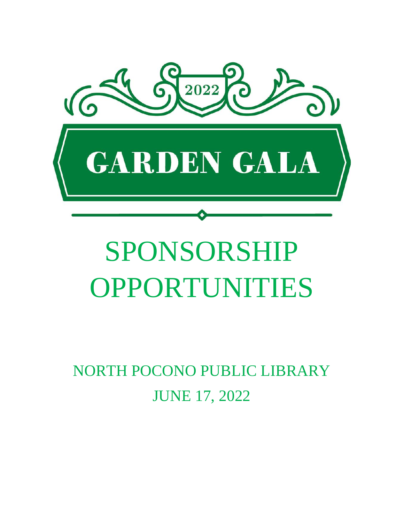

# SPONSORSHIP OPPORTUNITIES

NORTH POCONO PUBLIC LIBRARY JUNE 17, 2022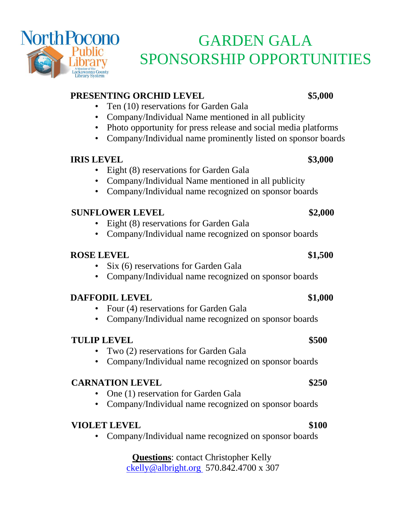

# GARDEN GALA SPONSORSHIP OPPORTUNITIES

### **PRESENTING ORCHID LEVEL \$5,000**

- Ten (10) reservations for Garden Gala
- Company/Individual Name mentioned in all publicity
- Photo opportunity for press release and social media platforms
- Company/Individual name prominently listed on sponsor boards

### **IRIS LEVEL \$3,000**

- Eight (8) reservations for Garden Gala
- Company/Individual Name mentioned in all publicity
- Company/Individual name recognized on sponsor boards

### **SUNFLOWER LEVEL \$2,000**

- Eight (8) reservations for Garden Gala
- Company/Individual name recognized on sponsor boards

### **ROSE LEVEL \$1,500**

- Six (6) reservations for Garden Gala
- Company/Individual name recognized on sponsor boards

#### **DAFFODIL LEVEL \$1,000**

- Four (4) reservations for Garden Gala
- Company/Individual name recognized on sponsor boards

#### **TULIP LEVEL \$500**

- Two (2) reservations for Garden Gala
- Company/Individual name recognized on sponsor boards

### **CARNATION LEVEL \$250**

- One (1) reservation for Garden Gala
- Company/Individual name recognized on sponsor boards

### **VIOLET LEVEL \$100**

• Company/Individual name recognized on sponsor boards

**Questions**: contact Christopher Kelly [ckelly@albright.org](mailto:ckelly@albright.org) 570.842.4700 x 307